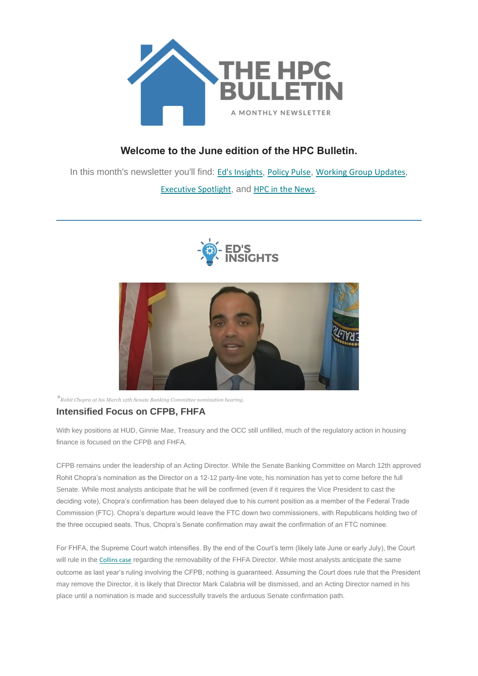

# **Welcome to the June edition of the HPC Bulletin.**

In this month's newsletter you'll find: Ed's [Insights](#page-0-0), [Policy Pulse](#page-1-0), [Working Group Updates](#page-2-0), [Executive](#page-4-0) Spotlight, and [HPC in the News](#page-4-1).





<span id="page-0-0"></span>*\*Rohit Chopra at his March 12th Senate Banking Committee nomination hearing.*

## **Intensified Focus on CFPB, FHFA**

With key positions at HUD, Ginnie Mae, Treasury and the OCC still unfilled, much of the regulatory action in housing finance is focused on the CFPB and FHFA.

CFPB remains under the leadership of an Acting Director. While the Senate Banking Committee on March 12th approved Rohit Chopra's nomination as the Director on a 12-12 party-line vote, his nomination has yet to come before the full Senate. While most analysts anticipate that he will be confirmed (even if it requires the Vice President to cast the deciding vote), Chopra's confirmation has been delayed due to his current position as a member of the Federal Trade Commission (FTC). Chopra's departure would leave the FTC down two commissioners, with Republicans holding two of the three occupied seats. Thus, Chopra's Senate confirmation may await the confirmation of an FTC nominee.

For FHFA, the Supreme Court watch intensifies. By the end of the Court's term (likely late June or early July), the Court will rule in the [Collins case](https://nam12.safelinks.protection.outlook.com/?url=https%3A%2F%2Fhousingpolicycouncil.us4.list-manage.com%2Ftrack%2Fclick%3Fu%3D5140623077e4523696cc45400%26id%3D2defb6da50%26e%3D873066dfb9&data=04%7C01%7Ccatherine.costakos%40edelman.com%7C6570640d21d740cc79fb08d924f09388%7Cb824bfb3918e43c2bb1cdcc1ba40a82b%7C0%7C1%7C637581437956791677%7CUnknown%7CTWFpbGZsb3d8eyJWIjoiMC4wLjAwMDAiLCJQIjoiV2luMzIiLCJBTiI6Ik1haWwiLCJXVCI6Mn0%3D%7C1000&sdata=smfXrbi11t4EDo8hadeiEz0KtB4fAbFC1YvjEI0N8ck%3D&reserved=0) regarding the removability of the FHFA Director. While most analysts anticipate the same outcome as last year's ruling involving the CFPB, nothing is guaranteed. Assuming the Court does rule that the President may remove the Director, it is likely that Director Mark Calabria will be dismissed, and an Acting Director named in his place until a nomination is made and successfully travels the arduous Senate confirmation path.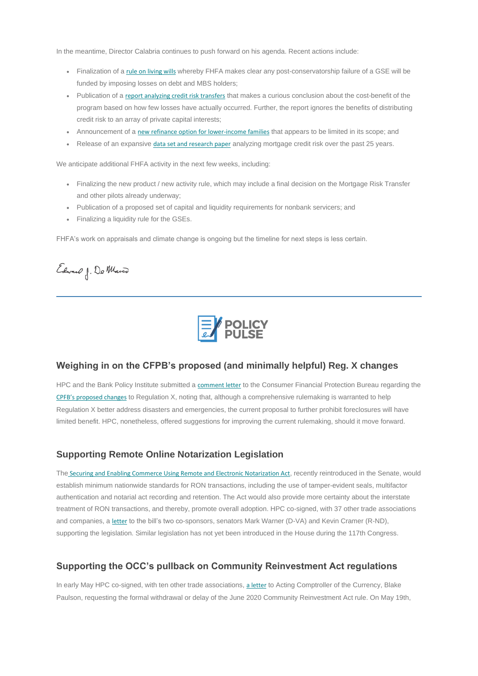In the meantime, Director Calabria continues to push forward on his agenda. Recent actions include:

- Finalization of a [rule on living wills](https://nam12.safelinks.protection.outlook.com/?url=https%3A%2F%2Fhousingpolicycouncil.us4.list-manage.com%2Ftrack%2Fclick%3Fu%3D5140623077e4523696cc45400%26id%3Da5b2c293f3%26e%3D873066dfb9&data=04%7C01%7Ccatherine.costakos%40edelman.com%7C6570640d21d740cc79fb08d924f09388%7Cb824bfb3918e43c2bb1cdcc1ba40a82b%7C0%7C1%7C637581437956801683%7CUnknown%7CTWFpbGZsb3d8eyJWIjoiMC4wLjAwMDAiLCJQIjoiV2luMzIiLCJBTiI6Ik1haWwiLCJXVCI6Mn0%3D%7C1000&sdata=%2FTyduVdGij7ZLyRRY285%2BWVa0qF%2Ff3IYvLqwsknJ1Cw%3D&reserved=0) whereby FHFA makes clear any post-conservatorship failure of a GSE will be funded by imposing losses on debt and MBS holders;
- Publication of a [report analyzing credit risk transfers](https://nam12.safelinks.protection.outlook.com/?url=https%3A%2F%2Fhousingpolicycouncil.us4.list-manage.com%2Ftrack%2Fclick%3Fu%3D5140623077e4523696cc45400%26id%3Df2e06c0c11%26e%3D873066dfb9&data=04%7C01%7Ccatherine.costakos%40edelman.com%7C6570640d21d740cc79fb08d924f09388%7Cb824bfb3918e43c2bb1cdcc1ba40a82b%7C0%7C1%7C637581437956801683%7CUnknown%7CTWFpbGZsb3d8eyJWIjoiMC4wLjAwMDAiLCJQIjoiV2luMzIiLCJBTiI6Ik1haWwiLCJXVCI6Mn0%3D%7C1000&sdata=HeLXYj%2FAbTjFY63ikAijJkFPkbCGx4Hd2Ujo%2Bl8RbbI%3D&reserved=0) that makes a curious conclusion about the cost-benefit of the program based on how few losses have actually occurred. Further, the report ignores the benefits of distributing credit risk to an array of private capital interests;
- Announcement of a [new refinance option for lower-income families](https://nam12.safelinks.protection.outlook.com/?url=https%3A%2F%2Fhousingpolicycouncil.us4.list-manage.com%2Ftrack%2Fclick%3Fu%3D5140623077e4523696cc45400%26id%3D0864a67a11%26e%3D873066dfb9&data=04%7C01%7Ccatherine.costakos%40edelman.com%7C6570640d21d740cc79fb08d924f09388%7Cb824bfb3918e43c2bb1cdcc1ba40a82b%7C0%7C1%7C637581437956811671%7CUnknown%7CTWFpbGZsb3d8eyJWIjoiMC4wLjAwMDAiLCJQIjoiV2luMzIiLCJBTiI6Ik1haWwiLCJXVCI6Mn0%3D%7C1000&sdata=arb8PA5YLYDq8GFvtjqA8jh9iu1NrsJMPJbwWvzOu7I%3D&reserved=0) that appears to be limited in its scope; and
- Release of an expansive [data set and research paper](https://nam12.safelinks.protection.outlook.com/?url=https%3A%2F%2Fhousingpolicycouncil.us4.list-manage.com%2Ftrack%2Fclick%3Fu%3D5140623077e4523696cc45400%26id%3Dfec6072312%26e%3D873066dfb9&data=04%7C01%7Ccatherine.costakos%40edelman.com%7C6570640d21d740cc79fb08d924f09388%7Cb824bfb3918e43c2bb1cdcc1ba40a82b%7C0%7C1%7C637581437956811671%7CUnknown%7CTWFpbGZsb3d8eyJWIjoiMC4wLjAwMDAiLCJQIjoiV2luMzIiLCJBTiI6Ik1haWwiLCJXVCI6Mn0%3D%7C1000&sdata=dUApi86RdOaoWwpj78msRqNmDJma4rCRlojOnHWzy9g%3D&reserved=0) analyzing mortgage credit risk over the past 25 years.

We anticipate additional FHFA activity in the next few weeks, including:

HPC and the Bank Policy Institute submitted a [comment letter](https://nam12.safelinks.protection.outlook.com/?url=https%3A%2F%2Fhousingpolicycouncil.us4.list-manage.com%2Ftrack%2Fclick%3Fu%3D5140623077e4523696cc45400%26id%3Dd7b6333f6c%26e%3D873066dfb9&data=04%7C01%7Ccatherine.costakos%40edelman.com%7C6570640d21d740cc79fb08d924f09388%7Cb824bfb3918e43c2bb1cdcc1ba40a82b%7C0%7C1%7C637581437956821662%7CUnknown%7CTWFpbGZsb3d8eyJWIjoiMC4wLjAwMDAiLCJQIjoiV2luMzIiLCJBTiI6Ik1haWwiLCJXVCI6Mn0%3D%7C1000&sdata=pRpfORsKGX8JjBvHL3PFbFsOH92jMfFKu%2BS5QwIv3dw%3D&reserved=0) to the Consumer Financial Protection Bureau regarding the [CPFB's proposed changes](https://nam12.safelinks.protection.outlook.com/?url=https%3A%2F%2Fhousingpolicycouncil.us4.list-manage.com%2Ftrack%2Fclick%3Fu%3D5140623077e4523696cc45400%26id%3Da1b86d016e%26e%3D873066dfb9&data=04%7C01%7Ccatherine.costakos%40edelman.com%7C6570640d21d740cc79fb08d924f09388%7Cb824bfb3918e43c2bb1cdcc1ba40a82b%7C0%7C1%7C637581437956821662%7CUnknown%7CTWFpbGZsb3d8eyJWIjoiMC4wLjAwMDAiLCJQIjoiV2luMzIiLCJBTiI6Ik1haWwiLCJXVCI6Mn0%3D%7C1000&sdata=gY5q%2BdX89sg0heEIy9QBe4QsCRiM3Ctf1OdOL0ZZIz4%3D&reserved=0) to Regulation X, noting that, although a comprehensive rulemaking is warranted to help Regulation X better address disasters and emergencies, the current proposal to further prohibit foreclosures will have limited benefit. HPC, nonetheless, offered suggestions for improving the current rulemaking, should it move forward.

- Finalizing the new product / new activity rule, which may include a final decision on the Mortgage Risk Transfer and other pilots already underway;
- Publication of a proposed set of capital and liquidity requirements for nonbank servicers; and
- Finalizing a liquidity rule for the GSEs.

FHFA's work on appraisals and climate change is ongoing but the timeline for next steps is less certain.

Edward J. Do Marco



The [Securing and Enabling Commerce Using Remote and Electronic Notarization Act](https://nam12.safelinks.protection.outlook.com/?url=https%3A%2F%2Fhousingpolicycouncil.us4.list-manage.com%2Ftrack%2Fclick%3Fu%3D5140623077e4523696cc45400%26id%3D8e7dd185ee%26e%3D873066dfb9&data=04%7C01%7Ccatherine.costakos%40edelman.com%7C6570640d21d740cc79fb08d924f09388%7Cb824bfb3918e43c2bb1cdcc1ba40a82b%7C0%7C1%7C637581437956831657%7CUnknown%7CTWFpbGZsb3d8eyJWIjoiMC4wLjAwMDAiLCJQIjoiV2luMzIiLCJBTiI6Ik1haWwiLCJXVCI6Mn0%3D%7C1000&sdata=3hOXMHt%2BJ23PxzbyDzjVr26hebQKCGURwhzOe7dahWE%3D&reserved=0), recently reintroduced in the Senate, would establish minimum nationwide standards for RON transactions, including the use of tamper-evident seals, multifactor authentication and notarial act recording and retention. The Act would also provide more certainty about the interstate treatment of RON transactions, and thereby, promote overall adoption. HPC co-signed, with 37 other trade associations and companies, a [letter](https://nam12.safelinks.protection.outlook.com/?url=https%3A%2F%2Fhousingpolicycouncil.us4.list-manage.com%2Ftrack%2Fclick%3Fu%3D5140623077e4523696cc45400%26id%3D67f0ad73b4%26e%3D873066dfb9&data=04%7C01%7Ccatherine.costakos%40edelman.com%7C6570640d21d740cc79fb08d924f09388%7Cb824bfb3918e43c2bb1cdcc1ba40a82b%7C0%7C1%7C637581437956831657%7CUnknown%7CTWFpbGZsb3d8eyJWIjoiMC4wLjAwMDAiLCJQIjoiV2luMzIiLCJBTiI6Ik1haWwiLCJXVCI6Mn0%3D%7C1000&sdata=nuOze306e6Ay36v%2Fo9mSkrX9cscTIWmE3en%2BkEamGHE%3D&reserved=0) to the bill's two co-sponsors, senators Mark Warner (D-VA) and Kevin Cramer (R-ND), supporting the legislation. Similar legislation has not yet been introduced in the House during the 117th Congress.

#### <span id="page-1-0"></span>**Weighing in on the CFPB's proposed (and minimally helpful) Reg. X changes**

## **Supporting Remote Online Notarization Legislation**

#### **Supporting the OCC's pullback on Community Reinvestment Act regulations**

In early May HPC co-signed, with ten other trade associations, [a letter](https://nam12.safelinks.protection.outlook.com/?url=https%3A%2F%2Fhousingpolicycouncil.us4.list-manage.com%2Ftrack%2Fclick%3Fu%3D5140623077e4523696cc45400%26id%3D4651dadf7f%26e%3D873066dfb9&data=04%7C01%7Ccatherine.costakos%40edelman.com%7C6570640d21d740cc79fb08d924f09388%7Cb824bfb3918e43c2bb1cdcc1ba40a82b%7C0%7C1%7C637581437956841649%7CUnknown%7CTWFpbGZsb3d8eyJWIjoiMC4wLjAwMDAiLCJQIjoiV2luMzIiLCJBTiI6Ik1haWwiLCJXVCI6Mn0%3D%7C1000&sdata=IPHlIyUs77oO7Kxo1HjrLpW6Q7raijL2EJgtUgX6a44%3D&reserved=0) to Acting Comptroller of the Currency, Blake Paulson, requesting the formal withdrawal or delay of the June 2020 Community Reinvestment Act rule. On May 19th,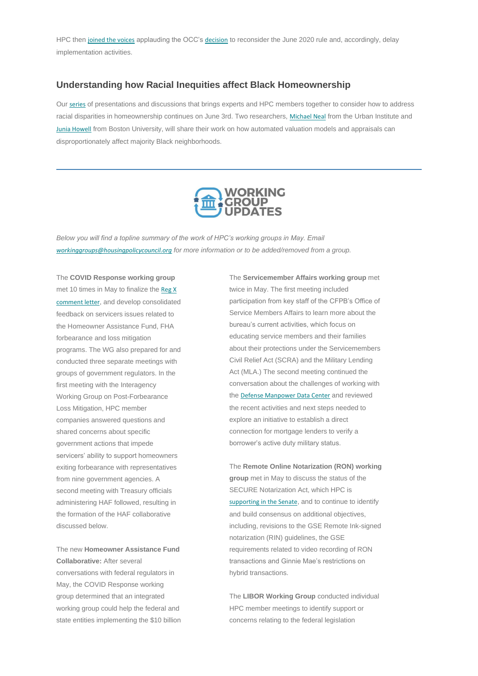HPC then [joined the voices](https://nam12.safelinks.protection.outlook.com/?url=https%3A%2F%2Fhousingpolicycouncil.us4.list-manage.com%2Ftrack%2Fclick%3Fu%3D5140623077e4523696cc45400%26id%3D49d0c90b63%26e%3D873066dfb9&data=04%7C01%7Ccatherine.costakos%40edelman.com%7C6570640d21d740cc79fb08d924f09388%7Cb824bfb3918e43c2bb1cdcc1ba40a82b%7C0%7C1%7C637581437956841649%7CUnknown%7CTWFpbGZsb3d8eyJWIjoiMC4wLjAwMDAiLCJQIjoiV2luMzIiLCJBTiI6Ik1haWwiLCJXVCI6Mn0%3D%7C1000&sdata=OOR2AfXE5Qu8PwAE8g5KQ7UYzYZIdBmod2NfQF%2B0LuI%3D&reserved=0) applauding the OCC's [decision](https://nam12.safelinks.protection.outlook.com/?url=https%3A%2F%2Fhousingpolicycouncil.us4.list-manage.com%2Ftrack%2Fclick%3Fu%3D5140623077e4523696cc45400%26id%3Df1e05d2a56%26e%3D873066dfb9&data=04%7C01%7Ccatherine.costakos%40edelman.com%7C6570640d21d740cc79fb08d924f09388%7Cb824bfb3918e43c2bb1cdcc1ba40a82b%7C0%7C1%7C637581437956851644%7CUnknown%7CTWFpbGZsb3d8eyJWIjoiMC4wLjAwMDAiLCJQIjoiV2luMzIiLCJBTiI6Ik1haWwiLCJXVCI6Mn0%3D%7C1000&sdata=S5Gml99E%2BvDfAqQQBgdhtIkrOyMqny7RyWr%2BHJOUJZw%3D&reserved=0) to reconsider the June 2020 rule and, accordingly, delay implementation activities.

#### **Understanding how Racial Inequities affect Black Homeownership**

Our [series](https://nam12.safelinks.protection.outlook.com/?url=https%3A%2F%2Fhousingpolicycouncil.us4.list-manage.com%2Ftrack%2Fclick%3Fu%3D5140623077e4523696cc45400%26id%3Debe673694b%26e%3D873066dfb9&data=04%7C01%7Ccatherine.costakos%40edelman.com%7C6570640d21d740cc79fb08d924f09388%7Cb824bfb3918e43c2bb1cdcc1ba40a82b%7C0%7C1%7C637581437956851644%7CUnknown%7CTWFpbGZsb3d8eyJWIjoiMC4wLjAwMDAiLCJQIjoiV2luMzIiLCJBTiI6Ik1haWwiLCJXVCI6Mn0%3D%7C1000&sdata=4q1kqQeFljcPb8jtat%2BlhAZGoqubm1DfUiJOa1XCyQ4%3D&reserved=0) of presentations and discussions that brings experts and HPC members together to consider how to address racial disparities in homeownership continues on June 3rd. Two researchers, [Michael Neal](https://nam12.safelinks.protection.outlook.com/?url=https%3A%2F%2Fhousingpolicycouncil.us4.list-manage.com%2Ftrack%2Fclick%3Fu%3D5140623077e4523696cc45400%26id%3De8837958ec%26e%3D873066dfb9&data=04%7C01%7Ccatherine.costakos%40edelman.com%7C6570640d21d740cc79fb08d924f09388%7Cb824bfb3918e43c2bb1cdcc1ba40a82b%7C0%7C1%7C637581437956851644%7CUnknown%7CTWFpbGZsb3d8eyJWIjoiMC4wLjAwMDAiLCJQIjoiV2luMzIiLCJBTiI6Ik1haWwiLCJXVCI6Mn0%3D%7C1000&sdata=m5uvHn%2F%2BY0mrt0kkC9Fy0MTpTxqLg2MQhSaJ5Ns1BpU%3D&reserved=0) from the Urban Institute and [Junia Howell](https://nam12.safelinks.protection.outlook.com/?url=https%3A%2F%2Fhousingpolicycouncil.us4.list-manage.com%2Ftrack%2Fclick%3Fu%3D5140623077e4523696cc45400%26id%3D22793e9fc8%26e%3D873066dfb9&data=04%7C01%7Ccatherine.costakos%40edelman.com%7C6570640d21d740cc79fb08d924f09388%7Cb824bfb3918e43c2bb1cdcc1ba40a82b%7C0%7C1%7C637581437956861642%7CUnknown%7CTWFpbGZsb3d8eyJWIjoiMC4wLjAwMDAiLCJQIjoiV2luMzIiLCJBTiI6Ik1haWwiLCJXVCI6Mn0%3D%7C1000&sdata=W3Z%2B5VQVywvOgFgJ4HfNFm1ZvuI9mEUWPMUeHGIatrY%3D&reserved=0) from Boston University, will share their work on how automated valuation models and appraisals can disproportionately affect majority Black neighborhoods.



<span id="page-2-0"></span>*Below you will find a topline summary of the work of HPC's working groups in May. Email [workinggroups@housingpolicycouncil.org](mailto:workinggroups@housingpolicycouncil.org) for more information or to be added/removed from a group.*

The **COVID Response working group**  met 10 times in May to finalize the Reg X [comment letter](https://nam12.safelinks.protection.outlook.com/?url=https%3A%2F%2Fhousingpolicycouncil.us4.list-manage.com%2Ftrack%2Fclick%3Fu%3D5140623077e4523696cc45400%26id%3D5a338a4756%26e%3D873066dfb9&data=04%7C01%7Ccatherine.costakos%40edelman.com%7C6570640d21d740cc79fb08d924f09388%7Cb824bfb3918e43c2bb1cdcc1ba40a82b%7C0%7C1%7C637581437956861642%7CUnknown%7CTWFpbGZsb3d8eyJWIjoiMC4wLjAwMDAiLCJQIjoiV2luMzIiLCJBTiI6Ik1haWwiLCJXVCI6Mn0%3D%7C1000&sdata=Q9PnE3tGabfceAGMOBDUrxjH3Q%2F67o1ZToROufTqqT4%3D&reserved=0), and develop consolidated feedback on servicers issues related to the Homeowner Assistance Fund, FHA forbearance and loss mitigation programs. The WG also prepared for and conducted three separate meetings with groups of government regulators. In the first meeting with the Interagency Working Group on Post-Forbearance Loss Mitigation, HPC member companies answered questions and shared concerns about specific government actions that impede servicers' ability to support homeowners exiting forbearance with representatives from nine government agencies. A second meeting with Treasury officials administering HAF followed, resulting in

the formation of the HAF collaborative discussed below.

The new **Homeowner Assistance Fund Collaborative:** After several conversations with federal regulators in May, the COVID Response working group determined that an integrated working group could help the federal and state entities implementing the \$10 billion The **Servicemember Affairs working group** met twice in May. The first meeting included participation from key staff of the CFPB's Office of Service Members Affairs to learn more about the bureau's current activities, which focus on educating service members and their families about their protections under the Servicemembers Civil Relief Act (SCRA) and the Military Lending Act (MLA.) The second meeting continued the conversation about the challenges of working with the [Defense Manpower Data Center](https://nam12.safelinks.protection.outlook.com/?url=https%3A%2F%2Fhousingpolicycouncil.us4.list-manage.com%2Ftrack%2Fclick%3Fu%3D5140623077e4523696cc45400%26id%3Dd43d45cd0a%26e%3D873066dfb9&data=04%7C01%7Ccatherine.costakos%40edelman.com%7C6570640d21d740cc79fb08d924f09388%7Cb824bfb3918e43c2bb1cdcc1ba40a82b%7C0%7C1%7C637581437956881633%7CUnknown%7CTWFpbGZsb3d8eyJWIjoiMC4wLjAwMDAiLCJQIjoiV2luMzIiLCJBTiI6Ik1haWwiLCJXVCI6Mn0%3D%7C1000&sdata=vnlWABtvFk6u88wyESe87Bp%2Fu0WYJ6VQc4QP%2FCpLlQ0%3D&reserved=0) and reviewed the recent activities and next steps needed to explore an initiative to establish a direct connection for mortgage lenders to verify a borrower's active duty military status.

The **Remote Online Notarization (RON) working group** met in May to discuss the status of the SECURE Notarization Act, which HPC is [supporting in the Senate](https://nam12.safelinks.protection.outlook.com/?url=https%3A%2F%2Fhousingpolicycouncil.us4.list-manage.com%2Ftrack%2Fclick%3Fu%3D5140623077e4523696cc45400%26id%3D7264d602c4%26e%3D873066dfb9&data=04%7C01%7Ccatherine.costakos%40edelman.com%7C6570640d21d740cc79fb08d924f09388%7Cb824bfb3918e43c2bb1cdcc1ba40a82b%7C0%7C1%7C637581437956881633%7CUnknown%7CTWFpbGZsb3d8eyJWIjoiMC4wLjAwMDAiLCJQIjoiV2luMzIiLCJBTiI6Ik1haWwiLCJXVCI6Mn0%3D%7C1000&sdata=pKnopWrZ5Hj4AY%2Bu5X1zhor7GIkV5rYpFr71ZGbwd8A%3D&reserved=0), and to continue to identify

and build consensus on additional objectives, including, revisions to the GSE Remote Ink-signed notarization (RIN) guidelines, the GSE requirements related to video recording of RON transactions and Ginnie Mae's restrictions on hybrid transactions.

The **LIBOR Working Group** conducted individual HPC member meetings to identify support or concerns relating to the federal legislation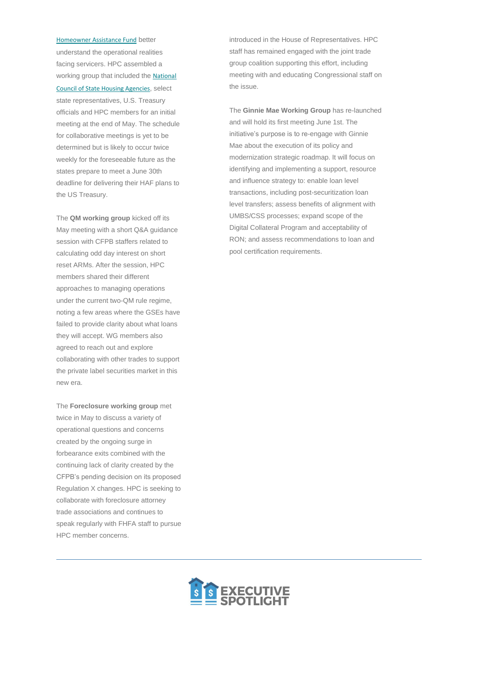[Homeowner Assistance Fund](https://nam12.safelinks.protection.outlook.com/?url=https%3A%2F%2Fhousingpolicycouncil.us4.list-manage.com%2Ftrack%2Fclick%3Fu%3D5140623077e4523696cc45400%26id%3D5cf0626b08%26e%3D873066dfb9&data=04%7C01%7Ccatherine.costakos%40edelman.com%7C6570640d21d740cc79fb08d924f09388%7Cb824bfb3918e43c2bb1cdcc1ba40a82b%7C0%7C1%7C637581437956871630%7CUnknown%7CTWFpbGZsb3d8eyJWIjoiMC4wLjAwMDAiLCJQIjoiV2luMzIiLCJBTiI6Ik1haWwiLCJXVCI6Mn0%3D%7C1000&sdata=pDKTerQKvqmxihPPPapntZy%2BBkPqS06XcgdJHJy0v8U%3D&reserved=0) better understand the operational realities facing servicers. HPC assembled a working group that included the [National](https://nam12.safelinks.protection.outlook.com/?url=https%3A%2F%2Fhousingpolicycouncil.us4.list-manage.com%2Ftrack%2Fclick%3Fu%3D5140623077e4523696cc45400%26id%3De3635c0447%26e%3D873066dfb9&data=04%7C01%7Ccatherine.costakos%40edelman.com%7C6570640d21d740cc79fb08d924f09388%7Cb824bfb3918e43c2bb1cdcc1ba40a82b%7C0%7C1%7C637581437956871630%7CUnknown%7CTWFpbGZsb3d8eyJWIjoiMC4wLjAwMDAiLCJQIjoiV2luMzIiLCJBTiI6Ik1haWwiLCJXVCI6Mn0%3D%7C1000&sdata=ZJTJeGIOjdEH%2FN1mDVg%2BJVR3qBf%2FyLTvPbhDI96FKSw%3D&reserved=0)  [Council of State Housing Agencies](https://nam12.safelinks.protection.outlook.com/?url=https%3A%2F%2Fhousingpolicycouncil.us4.list-manage.com%2Ftrack%2Fclick%3Fu%3D5140623077e4523696cc45400%26id%3De3635c0447%26e%3D873066dfb9&data=04%7C01%7Ccatherine.costakos%40edelman.com%7C6570640d21d740cc79fb08d924f09388%7Cb824bfb3918e43c2bb1cdcc1ba40a82b%7C0%7C1%7C637581437956871630%7CUnknown%7CTWFpbGZsb3d8eyJWIjoiMC4wLjAwMDAiLCJQIjoiV2luMzIiLCJBTiI6Ik1haWwiLCJXVCI6Mn0%3D%7C1000&sdata=ZJTJeGIOjdEH%2FN1mDVg%2BJVR3qBf%2FyLTvPbhDI96FKSw%3D&reserved=0), select state representatives, U.S. Treasury officials and HPC members for an initial meeting at the end of May. The schedule for collaborative meetings is yet to be determined but is likely to occur twice weekly for the foreseeable future as the states prepare to meet a June 30th deadline for delivering their HAF plans to the US Treasury.

The **QM working group** kicked off its May meeting with a short Q&A guidance session with CFPB staffers related to calculating odd day interest on short reset ARMs. After the session, HPC members shared their different approaches to managing operations under the current two-QM rule regime, noting a few areas where the GSEs have failed to provide clarity about what loans they will accept. WG members also agreed to reach out and explore collaborating with other trades to support the private label securities market in this new era.

The **Foreclosure working group** met twice in May to discuss a variety of operational questions and concerns created by the ongoing surge in forbearance exits combined with the continuing lack of clarity created by the CFPB's pending decision on its proposed Regulation X changes. HPC is seeking to collaborate with foreclosure attorney trade associations and continues to

speak regularly with FHFA staff to pursue HPC member concerns.



introduced in the House of Representatives. HPC staff has remained engaged with the joint trade group coalition supporting this effort, including meeting with and educating Congressional staff on the issue.

The **Ginnie Mae Working Group** has re-launched and will hold its first meeting June 1st. The initiative's purpose is to re-engage with Ginnie Mae about the execution of its policy and modernization strategic roadmap. It will focus on identifying and implementing a support, resource and influence strategy to: enable loan level transactions, including post-securitization loan level transfers; assess benefits of alignment with UMBS/CSS processes; expand scope of the Digital Collateral Program and acceptability of RON; and assess recommendations to loan and pool certification requirements.